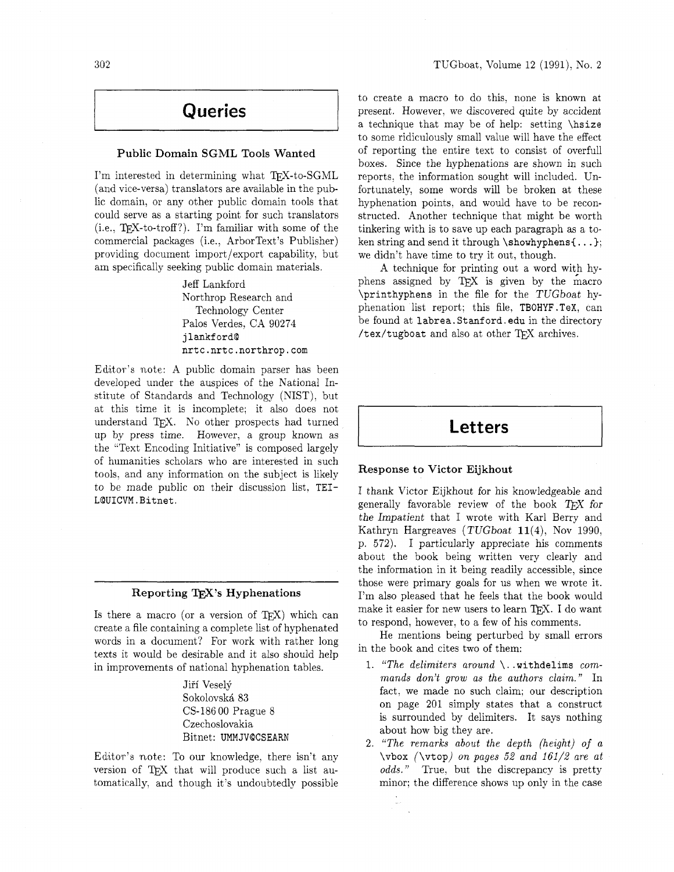# **Queries**

### Public Domain SGML Tools Wanted

I'm interested in determining what TFX-to-SGML (and vice-versa) translators are available in the public domain, or any other public domain tools that could serve as a starting point for such translators  $(i.e., TFX-to-troff?)$ . I'm familiar with some of the commercial packages (i.e., ArborText's Publisher) providing document import/export capability, but am specifically seeking public domain materials.

> Jeff Lankford Northrop Research and Technology Center Palos Verdes, CA 90274 j **lankf ordD nrtc.nrtc.northrop.com**

Edttor's note: A public domain parser has been developed under the auspices of the Xational Institute of Standards and Technology (NIST). but at this time it is incomplete; it also does not understand QX. No other prospects had turned up by press time. However. a group known as the "Text Encoding Initiative" is composed largely of humanities scholars who are interested in such tools. and any information on the subject is likely to be made public on their discussion list. TEI-**LQUICVM.Bitnet.** 

### Reporting T<sub>E</sub>X's Hyphenations

Is there a macro (or a version of  $T_{F}X$ ) which can create a file containing a complete list of hyphenated words in a document? For work with rather long texts it would be desirable and it also should help in improvements of national hyphenation tables.

> Jiří Veselý Sokolovsk& 83 CS-186 00 Prague 8 Czechoslovakia Bitnet: **UMMJVQCSEARN**

Editor's note: To our knowledge. there isn't any version of TEX that will produce such a list automatically. and though it's undoubtedly possible to create a macro to do this, none is known at present. However, we discovered quite by accident a technique that may be of help: setting **\hsize**  to some ridiculously small value will have the effect of reporting the entire text to consist of overfull boxes. Since the hyphenations are shown in such reports, the information sought will included. Unfortunately, some words will be broken at these hyphenation points. and would have to be reconstructed. Another technique that might be worth tinkering with is to save up each paragraph as a token string and send it through **\showhyphensI** . . . ); we didn't have time to try it out, though.

A technique for printing out a word with hyphens assigned by TEX is given by the macro **\printhyphens** in the file for the TUGboat hyphenation list report; this file, TBOHYF . **TeX,** can be found at **labrea. Stanford** . **edu** in the directory **/tex/tugboat** and also at other TEX archives.

## **Letters**

### Response to Victor Eijkhout

I thank Victor Eijkhout for his knowledgeable and generally favorable review of the book  $T_F X$  for the Impatient that I wrote with Karl Berry and Kathryn Hargreaves (TUGboat 11(4), Nov 1990, p. 572). I particularly appreciate his comments about the book being written very clearly and the information in it being readily accessible, since those were primary goals for us when we wrote it. I'm also pleased that he feels that the book would make it easier for new users to learn TFX. I do want to respond, however, to a few of his comments.

He mentions being perturbed by small errors in the book and cites two of them:

- 1. *"The delimiters around* \. **.withdelims** *commands don't grow as the authors claim."* In fact, we made no such claim; our description on page 201 simply states that a construct is surrounded by delimiters. It says nothing about how big they are.
- 2. *"The remarks about the depth (height) of a*  **\vbox (\vtop)** *on pages* **52** *and 161/2 are at odds."* True, but the discrepancy is pretty minor; the difference shows up only in the case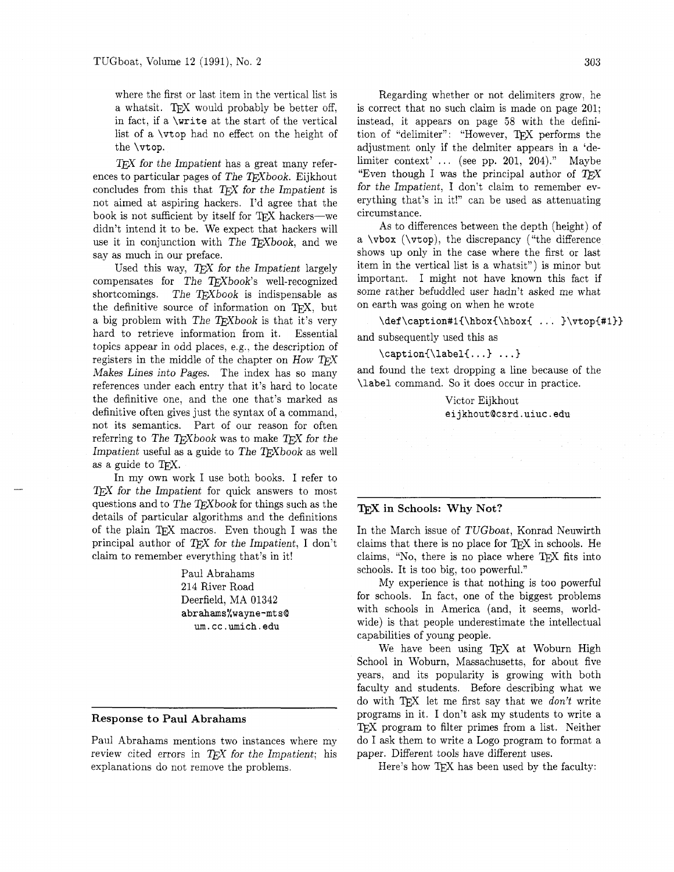where the first or last item in the vertical list is a whatsit. TEX would probably be better off, in fact, if a **\write** at the start of the vertical list of a **\vtop** had no effect on the height of the **\vtop.** 

 $T_{E}X$  for the Impatient has a great many references to particular pages of The  $T_{E}X$ book. Eijkhout TEX for the Impatient has a great many references to particular pages of The TEXbook. Eijkhout concludes from this that TEX for the Impatient is not simed at aspiring backers. I'd agree that the not aimed at aspiring hackers. I'd agree that the book is not sufficient by itself for  $T_{F}X$  hackers—we didn't intend it to be. We expect that hackers will use it in conjunction with The TEXbook, and we say as much in our preface.

Used this way,  $T_F X$  for the Impatient largely compensates for The TEXbook's well-recognized shortcomings. The  $T_{E}Xbook$  is indispensable as the definitive source of information on TFX, but a big problem with The TEXbook is that it's very hard to retrieve information from it. Essential topics appear in odd places, e.g., the description of registers in the middle of the chapter on How T<sub>F</sub>X Makes Lines into Pages. The index has so many references under each entry that it's hard to locate the definitive one, and the one that's marked as definitive often gives just the syntax of a command, not its semantics. Part of our reason for often referring to The T $FX$ book was to make T $FX$  for the Impatient useful as a guide to The  $T<sub>E</sub>Xbook$  as well as a guide to TpX.

In my own work I use both books. I refer to  $T_{E}X$  for the Impatient for quick answers to most questions and to The TEX book for things such as the details of particular algorithms and the definitions of the plain TEX macros. Even though I was the principal author of  $T_F X$  for the Impatient, I don't claim to remember everything that's in it!

> Paul Abrahams 214 River Road Deerfield, MA 01342 **abrahms%wayne-mtsQ um.cc.umich.edu**

## **Response to Paul Abrahams**

Paul Abrahams mentions two instances where my review cited errors in TEX for the Impatient; his explanations do not remove the problems.

Regarding whether or not delimiters grow, he is correct that no such claim is made on page 201; instead, it appears on page 58 with the definition of "delimiter": "However, TFX performs the adjustment only if the delmiter appears in a 'delimiter context'  $\ldots$  (see pp. 201, 204)." Maybe "Even though I was the principal author of  $T \n F X$ for the Impatient, I don't claim to remember everything that's in it!" can be used as attenuating circumstance.

As to differences between the depth (height) of a **\vbox (\vtop),** the discrepancy ("the difference shows up only in the case where the first or last item in the vertical list is a whatsit") is minor but important. I might not have known this fact if some rather befuddled user hadn't asked me what on earth was going on when he wrote

**\def \caption#lC\hboxi\hboxi** . . . **)\vtopi#l33**  and subsequently used this as

\caption{\label{...} ...}

and found the text dropping a line because of the **\label** command. So it does occur in practice.

> Victor Eijkhout **eijkhout@csrd.uiuc.edu**

## **in Schools: Why Not?**

In the March issue of TUGboat, Konrad Neuwirth claims that there is no place for  $T_FX$  in schools. He claims, "No, there is no place where TEX fits into schools. It is too big, too powerful."

My experience is that nothing is too powerful for schools. In fact, one of the biggest problems with schools in America (and, it seems, worldwide) is that people underestimate the intellectual capabilities of young people.

We have been using TEX at Woburn High School in Woburn, Massachusetts, for about five years, and its popularity is growing with both faculty and students. Before describing what we do with  $Tr X$  let me first say that we *don't* write programs in it. I don't ask my students to write a TFX program to filter primes from a list. Neither do I ask them to write a Logo program to format a paper. Different tools have different uses.

Here's how  $T_{E}X$  has been used by the faculty: